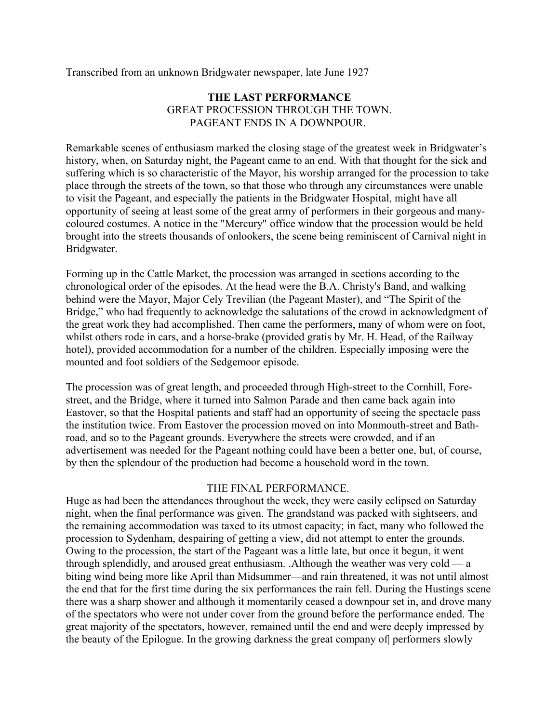Transcribed from an unknown Bridgwater newspaper, late June 1927

# **THE LAST PERFORMANCE** GREAT PROCESSION THROUGH THE TOWN. PAGEANT ENDS IN A DOWNPOUR.

Remarkable scenes of enthusiasm marked the closing stage of the greatest week in Bridgwater's history, when, on Saturday night, the Pageant came to an end. With that thought for the sick and suffering which is so characteristic of the Mayor, his worship arranged for the procession to take place through the streets of the town, so that those who through any circumstances were unable to visit the Pageant, and especially the patients in the Bridgwater Hospital, might have all opportunity of seeing at least some of the great army of performers in their gorgeous and manycoloured costumes. A notice in the "Mercury" office window that the procession would be held brought into the streets thousands of onlookers, the scene being reminiscent of Carnival night in Bridgwater.

Forming up in the Cattle Market, the procession was arranged in sections according to the chronological order of the episodes. At the head were the B.A. Christy's Band, and walking behind were the Mayor, Major Cely Trevilian (the Pageant Master), and "The Spirit of the Bridge," who had frequently to acknowledge the salutations of the crowd in acknowledgment of the great work they had accomplished. Then came the performers, many of whom were on foot, whilst others rode in cars, and a horse-brake (provided gratis by Mr. H. Head, of the Railway hotel), provided accommodation for a number of the children. Especially imposing were the mounted and foot soldiers of the Sedgemoor episode.

The procession was of great length, and proceeded through High-street to the Cornhill, Forestreet, and the Bridge, where it turned into Salmon Parade and then came back again into Eastover, so that the Hospital patients and staff had an opportunity of seeing the spectacle pass the institution twice. From Eastover the procession moved on into Monmouth-street and Bathroad, and so to the Pageant grounds. Everywhere the streets were crowded, and if an advertisement was needed for the Pageant nothing could have been a better one, but, of course, by then the splendour of the production had become a household word in the town.

### THE FINAL PERFORMANCE.

Huge as had been the attendances throughout the week, they were easily eclipsed on Saturday night, when the final performance was given. The grandstand was packed with sightseers, and the remaining accommodation was taxed to its utmost capacity; in fact, many who followed the procession to Sydenham, despairing of getting a view, did not attempt to enter the grounds. Owing to the procession, the start of the Pageant was a little late, but once it begun, it went through splendidly, and aroused great enthusiasm. .Although the weather was very cold — a biting wind being more like April than Midsummer—and rain threatened, it was not until almost the end that for the first time during the six performances the rain fell. During the Hustings scene there was a sharp shower and although it momentarily ceased a downpour set in, and drove many of the spectators who were not under cover from the ground before the performance ended. The great majority of the spectators, however, remained until the end and were deeply impressed by the beauty of the Epilogue. In the growing darkness the great company of performers slowly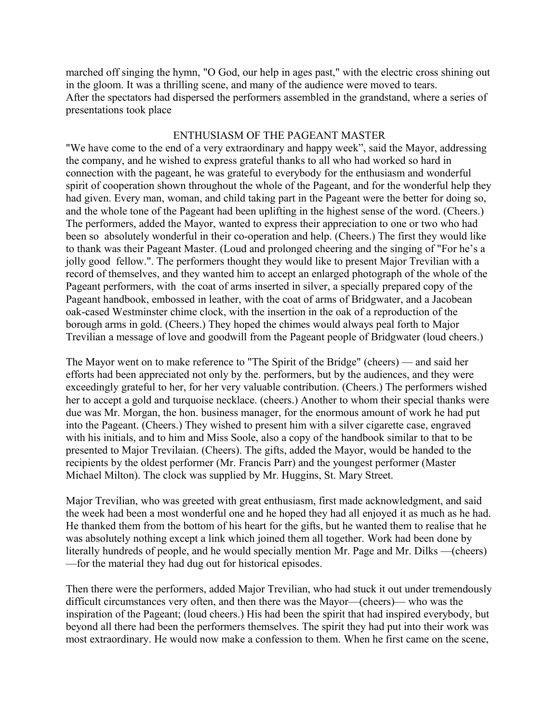marched off singing the hymn, "O God, our help in ages past," with the electric cross shining out in the gloom. It was a thrilling scene, and many of the audience were moved to tears. After the spectators had dispersed the performers assembled in the grandstand, where a series of presentations took place

# ENTHUSIASM OF THE PAGEANT MASTER

"We have come to the end of a very extraordinary and happy week", said the Mayor, addressing the company, and he wished to express grateful thanks to all who had worked so hard in connection with the pageant, he was grateful to everybody for the enthusiasm and wonderful spirit of cooperation shown throughout the whole of the Pageant, and for the wonderful help they had given. Every man, woman, and child taking part in the Pageant were the better for doing so, and the whole tone of the Pageant had been uplifting in the highest sense of the word. (Cheers.) The performers, added the Mayor, wanted to express their appreciation to one or two who had been so absolutely wonderful in their co-operation and help. (Cheers.) The first they would like to thank was their Pageant Master. (Loud and prolonged cheering and the singing of "For he's a jolly good fellow.". The performers thought they would like to present Major Trevilian with a record of themselves, and they wanted him to accept an enlarged photograph of the whole of the Pageant performers, with the coat of arms inserted in silver, a specially prepared copy of the Pageant handbook, embossed in leather, with the coat of arms of Bridgwater, and a Jacobean oak-cased Westminster chime clock, with the insertion in the oak of a reproduction of the borough arms in gold. (Cheers.) They hoped the chimes would always peal forth to Major Trevilian a message of love and goodwill from the Pageant people of Bridgwater (loud cheers.)

The Mayor went on to make reference to "The Spirit of the Bridge" (cheers) — and said her efforts had been appreciated not only by the. performers, but by the audiences, and they were exceedingly grateful to her, for her very valuable contribution. (Cheers.) The performers wished her to accept a gold and turquoise necklace. (cheers.) Another to whom their special thanks were due was Mr. Morgan, the hon. business manager, for the enormous amount of work he had put into the Pageant. (Cheers.) They wished to present him with a silver cigarette case, engraved with his initials, and to him and Miss Soole, also a copy of the handbook similar to that to be presented to Major Trevilaian. (Cheers). The gifts, added the Mayor, would be handed to the recipients by the oldest performer (Mr. Francis Parr) and the youngest performer (Master Michael Milton). The clock was supplied by Mr. Huggins, St. Mary Street.

Major Trevilian, who was greeted with great enthusiasm, first made acknowledgment, and said the week had been a most wonderful one and he hoped they had all enjoyed it as much as he had. He thanked them from the bottom of his heart for the gifts, but he wanted them to realise that he was absolutely nothing except a link which joined them all together. Work had been done by literally hundreds of people, and he would specially mention Mr. Page and Mr. Dilks —(cheers) —for the material they had dug out for historical episodes.

Then there were the performers, added Major Trevilian, who had stuck it out under tremendously difficult circumstances very often, and then there was the Mayor—(cheers)— who was the inspiration of the Pageant; (loud cheers.) His had been the spirit that had inspired everybody, but beyond all there had been the performers themselves. The spirit they had put into their work was most extraordinary. He would now make a confession to them. When he first came on the scene,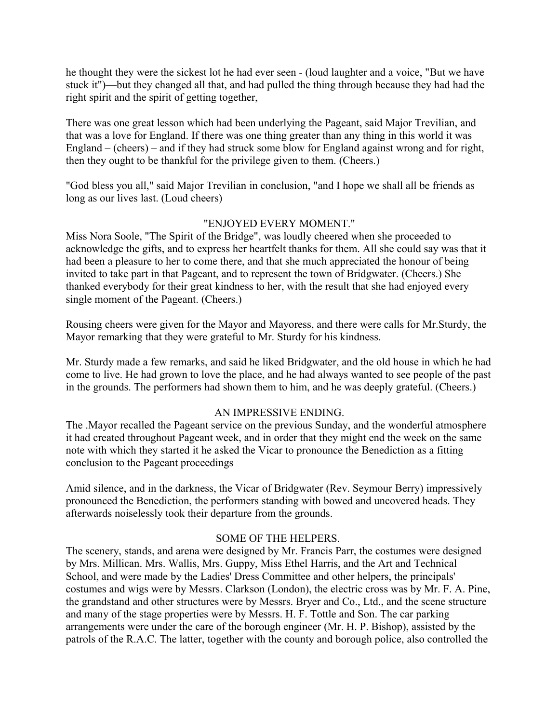he thought they were the sickest lot he had ever seen - (loud laughter and a voice, "But we have stuck it")—but they changed all that, and had pulled the thing through because they had had the right spirit and the spirit of getting together,

There was one great lesson which had been underlying the Pageant, said Major Trevilian, and that was a love for England. If there was one thing greater than any thing in this world it was England – (cheers) – and if they had struck some blow for England against wrong and for right, then they ought to be thankful for the privilege given to them. (Cheers.)

"God bless you all," said Major Trevilian in conclusion, "and I hope we shall all be friends as long as our lives last. (Loud cheers)

### "ENJOYED EVERY MOMENT."

Miss Nora Soole, "The Spirit of the Bridge", was loudly cheered when she proceeded to acknowledge the gifts, and to express her heartfelt thanks for them. All she could say was that it had been a pleasure to her to come there, and that she much appreciated the honour of being invited to take part in that Pageant, and to represent the town of Bridgwater. (Cheers.) She thanked everybody for their great kindness to her, with the result that she had enjoyed every single moment of the Pageant. (Cheers.)

Rousing cheers were given for the Mayor and Mayoress, and there were calls for Mr.Sturdy, the Mayor remarking that they were grateful to Mr. Sturdy for his kindness.

Mr. Sturdy made a few remarks, and said he liked Bridgwater, and the old house in which he had come to live. He had grown to love the place, and he had always wanted to see people of the past in the grounds. The performers had shown them to him, and he was deeply grateful. (Cheers.)

### AN IMPRESSIVE ENDING.

The .Mayor recalled the Pageant service on the previous Sunday, and the wonderful atmosphere it had created throughout Pageant week, and in order that they might end the week on the same note with which they started it he asked the Vicar to pronounce the Benediction as a fitting conclusion to the Pageant proceedings

Amid silence, and in the darkness, the Vicar of Bridgwater (Rev. Seymour Berry) impressively pronounced the Benediction, the performers standing with bowed and uncovered heads. They afterwards noiselessly took their departure from the grounds.

### SOME OF THE HELPERS.

The scenery, stands, and arena were designed by Mr. Francis Parr, the costumes were designed by Mrs. Millican. Mrs. Wallis, Mrs. Guppy, Miss Ethel Harris, and the Art and Technical School, and were made by the Ladies' Dress Committee and other helpers, the principals' costumes and wigs were by Messrs. Clarkson (London), the electric cross was by Mr. F. A. Pine, the grandstand and other structures were by Messrs. Bryer and Co., Ltd., and the scene structure and many of the stage properties were by Messrs. H. F. Tottle and Son. The car parking arrangements were under the care of the borough engineer (Mr. H. P. Bishop), assisted by the patrols of the R.A.C. The latter, together with the county and borough police, also controlled the